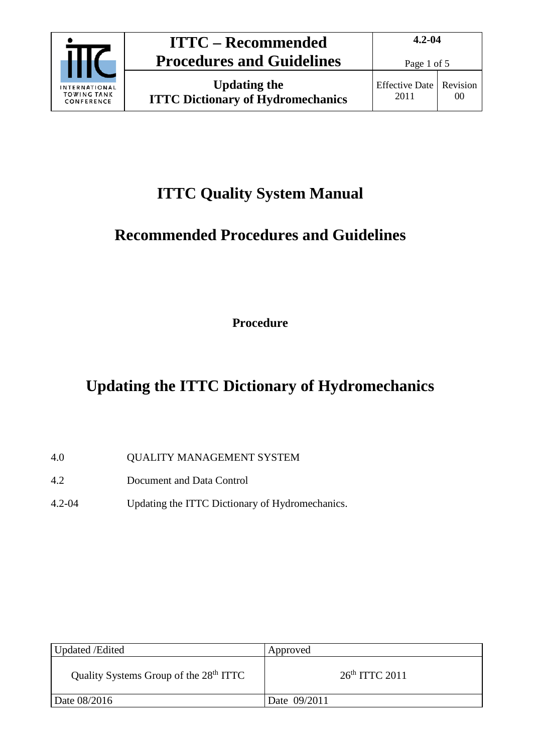

## **ITTC Quality System Manual**

# **Recommended Procedures and Guidelines**

**Procedure**

# **Updating the ITTC Dictionary of Hydromechanics**

- 4.0 QUALITY MANAGEMENT SYSTEM
- 4.2 Document and Data Control
- 4.2-04 Updating the ITTC Dictionary of Hydromechanics.

| Updated /Edited                                    | Approved         |
|----------------------------------------------------|------------------|
| Quality Systems Group of the 28 <sup>th</sup> ITTC | $26th$ ITTC 2011 |
| Date 08/2016                                       | Date 09/2011     |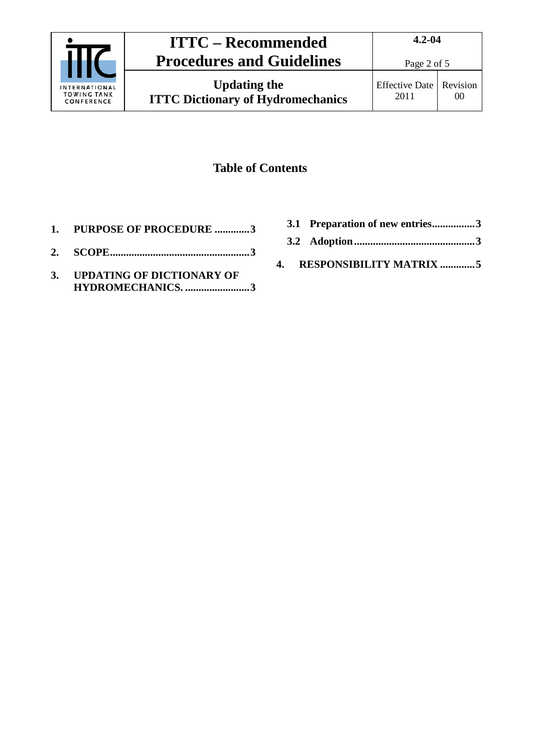

**Updating the ITTC Dictionary of Hydromechanics**

### **Table of Contents**

- **1. [PURPOSE OF PROCEDURE](#page-2-0) .............3**
- **2. [SCOPE....................................................3](#page-2-1)**
- **3. [UPDATING OF DICTIONARY OF](#page-2-2)  [HYDROMECHANICS.](#page-2-2) ........................3**
- **3.1 [Preparation of new entries................3](#page-2-3)**
- **3.2 [Adoption.............................................3](#page-2-4)**
- **4. [RESPONSIBILITY MATRIX](#page-4-0) .............5**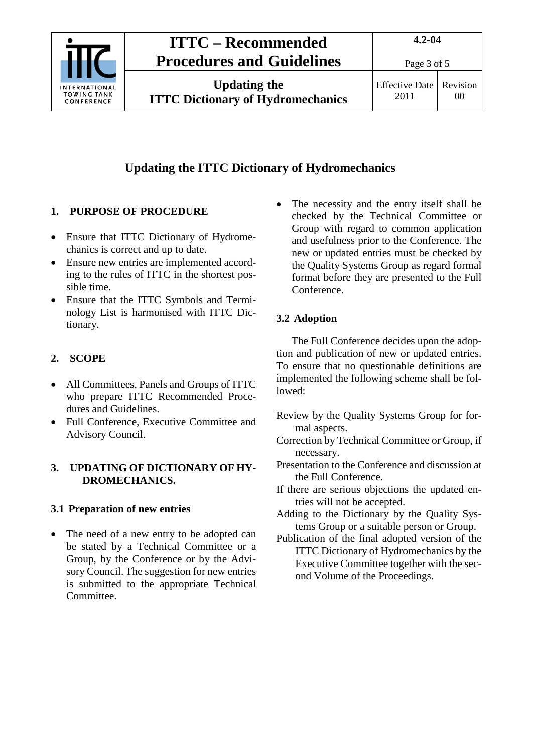

## **ITTC – Recommended Procedures and Guidelines**

**Updating the ITTC Dictionary of Hydromechanics**

## **Updating the ITTC Dictionary of Hydromechanics**

### <span id="page-2-0"></span>**1. PURPOSE OF PROCEDURE**

- Ensure that ITTC Dictionary of Hydromechanics is correct and up to date.
- Ensure new entries are implemented according to the rules of ITTC in the shortest possible time.
- Ensure that the ITTC Symbols and Terminology List is harmonised with ITTC Dictionary.

### <span id="page-2-1"></span>**2. SCOPE**

- All Committees, Panels and Groups of ITTC who prepare ITTC Recommended Procedures and Guidelines.
- Full Conference, Executive Committee and Advisory Council.

#### <span id="page-2-2"></span>**3. UPDATING OF DICTIONARY OF HY-DROMECHANICS.**

#### <span id="page-2-3"></span>**3.1 Preparation of new entries**

• The need of a new entry to be adopted can be stated by a Technical Committee or a Group, by the Conference or by the Advisory Council. The suggestion for new entries is submitted to the appropriate Technical Committee.

The necessity and the entry itself shall be checked by the Technical Committee or Group with regard to common application and usefulness prior to the Conference. The new or updated entries must be checked by the Quality Systems Group as regard formal format before they are presented to the Full Conference.

#### <span id="page-2-4"></span>**3.2 Adoption**

The Full Conference decides upon the adoption and publication of new or updated entries. To ensure that no questionable definitions are implemented the following scheme shall be followed:

- Review by the Quality Systems Group for formal aspects.
- Correction by Technical Committee or Group, if necessary.
- Presentation to the Conference and discussion at the Full Conference.
- If there are serious objections the updated entries will not be accepted.
- Adding to the Dictionary by the Quality Systems Group or a suitable person or Group.
- Publication of the final adopted version of the ITTC Dictionary of Hydromechanics by the Executive Committee together with the second Volume of the Proceedings.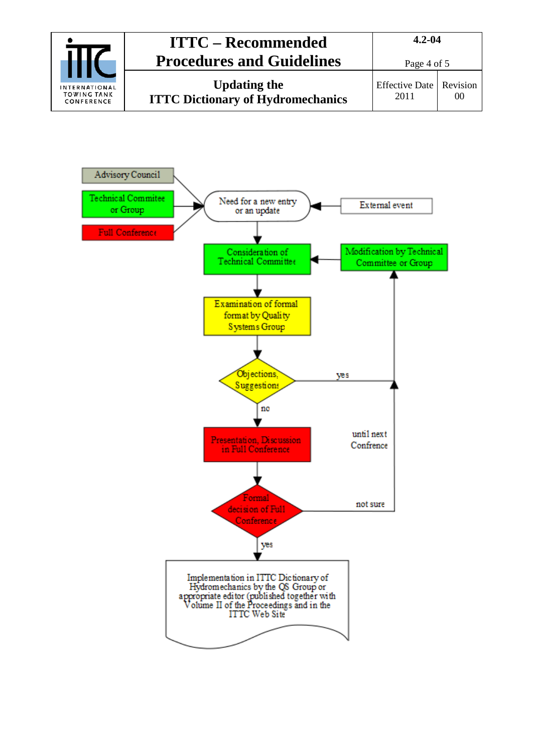